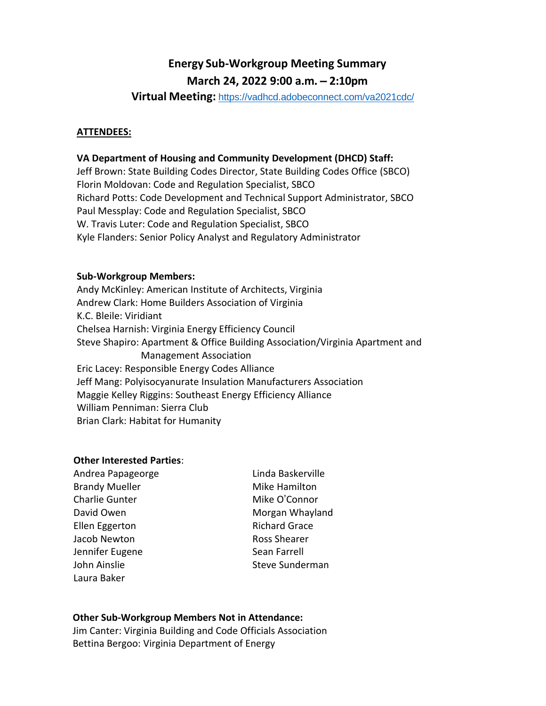# **Energy Sub-Workgroup Meeting Summary March 24, 2022 9:00 a.m. – 2:10pm**

**Virtual Meeting:** <https://vadhcd.adobeconnect.com/va2021cdc/>

## **ATTENDEES:**

## **VA Department of Housing and Community Development (DHCD) Staff:**

Jeff Brown: State Building Codes Director, State Building Codes Office (SBCO) Florin Moldovan: Code and Regulation Specialist, SBCO Richard Potts: Code Development and Technical Support Administrator, SBCO Paul Messplay: Code and Regulation Specialist, SBCO W. Travis Luter: Code and Regulation Specialist, SBCO Kyle Flanders: Senior Policy Analyst and Regulatory Administrator

## **Sub-Workgroup Members:**

Andy McKinley: American Institute of Architects, Virginia Andrew Clark: Home Builders Association of Virginia K.C. Bleile: Viridiant Chelsea Harnish: Virginia Energy Efficiency Council Steve Shapiro: Apartment & Office Building Association/Virginia Apartment and Management Association Eric Lacey: Responsible Energy Codes Alliance Jeff Mang: Polyisocyanurate Insulation Manufacturers Association Maggie Kelley Riggins: Southeast Energy Efficiency Alliance William Penniman: Sierra Club Brian Clark: Habitat for Humanity

## **Other Interested Parties**:

| Andrea Papageorge     |  |
|-----------------------|--|
| <b>Brandy Mueller</b> |  |
| <b>Charlie Gunter</b> |  |
| David Owen            |  |
| <b>Ellen Eggerton</b> |  |
| Jacob Newton          |  |
| Jennifer Eugene       |  |
| John Ainslie          |  |
| Laura Baker           |  |

Linda Baskerville Mike Hamilton Mike O'Connor Morgan Whayland Richard Grace Ross Shearer Sean Farrell Steve Sunderman

## **Other Sub-Workgroup Members Not in Attendance:**

Jim Canter: Virginia Building and Code Officials Association Bettina Bergoo: Virginia Department of Energy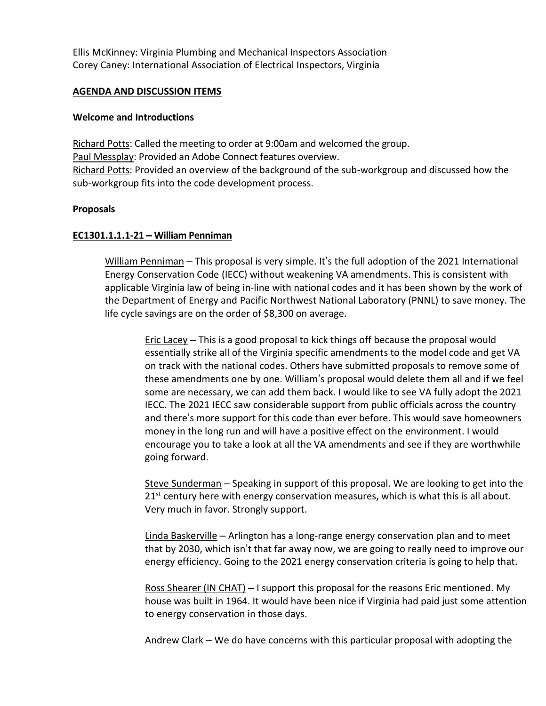Ellis McKinney: Virginia Plumbing and Mechanical Inspectors Association Corey Caney: International Association of Electrical Inspectors, Virginia

## **AGENDA AND DISCUSSION ITEMS**

## **Welcome and Introductions**

Richard Potts: Called the meeting to order at 9:00am and welcomed the group. Paul Messplay: Provided an Adobe Connect features overview. Richard Potts: Provided an overview of the background of the sub-workgroup and discussed how the sub-workgroup fits into the code development process.

## **Proposals**

# **EC1301.1.1.1-21 – William Penniman**

William Penniman – This proposal is very simple. It's the full adoption of the 2021 International Energy Conservation Code (IECC) without weakening VA amendments. This is consistent with applicable Virginia law of being in-line with national codes and it has been shown by the work of the Department of Energy and Pacific Northwest National Laboratory (PNNL) to save money. The life cycle savings are on the order of \$8,300 on average.

Eric Lacey – This is a good proposal to kick things off because the proposal would essentially strike all of the Virginia specific amendments to the model code and get VA on track with the national codes. Others have submitted proposals to remove some of these amendments one by one. William's proposal would delete them all and if we feel some are necessary, we can add them back. I would like to see VA fully adopt the 2021 IECC. The 2021 IECC saw considerable support from public officials across the country and there's more support for this code than ever before. This would save homeowners money in the long run and will have a positive effect on the environment. I would encourage you to take a look at all the VA amendments and see if they are worthwhile going forward.

Steve Sunderman – Speaking in support of this proposal. We are looking to get into the  $21<sup>st</sup>$  century here with energy conservation measures, which is what this is all about. Very much in favor. Strongly support.

Linda Baskerville – Arlington has a long-range energy conservation plan and to meet that by 2030, which isn't that far away now, we are going to really need to improve our energy efficiency. Going to the 2021 energy conservation criteria is going to help that.

Ross Shearer (IN CHAT) – I support this proposal for the reasons Eric mentioned. My house was built in 1964. It would have been nice if Virginia had paid just some attention to energy conservation in those days.

Andrew Clark – We do have concerns with this particular proposal with adopting the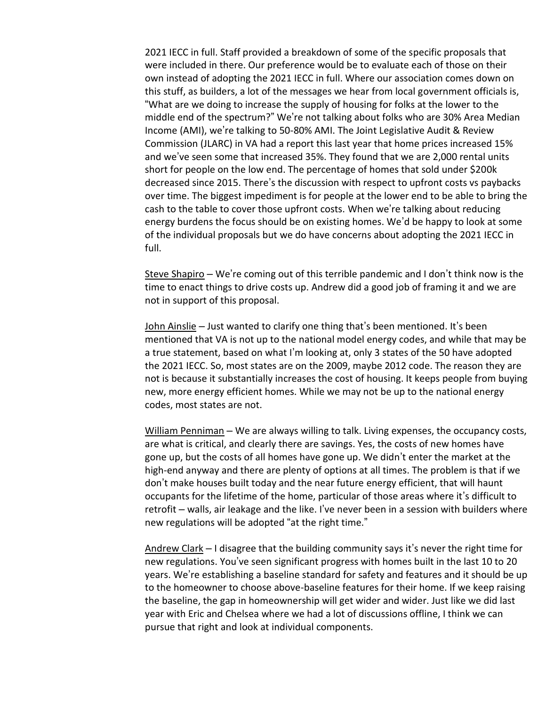2021 IECC in full. Staff provided a breakdown of some of the specific proposals that were included in there. Our preference would be to evaluate each of those on their own instead of adopting the 2021 IECC in full. Where our association comes down on this stuff, as builders, a lot of the messages we hear from local government officials is, "What are we doing to increase the supply of housing for folks at the lower to the middle end of the spectrum?" We're not talking about folks who are 30% Area Median Income (AMI), we're talking to 50-80% AMI. The Joint Legislative Audit & Review Commission (JLARC) in VA had a report this last year that home prices increased 15% and we've seen some that increased 35%. They found that we are 2,000 rental units short for people on the low end. The percentage of homes that sold under \$200k decreased since 2015. There's the discussion with respect to upfront costs vs paybacks over time. The biggest impediment is for people at the lower end to be able to bring the cash to the table to cover those upfront costs. When we're talking about reducing energy burdens the focus should be on existing homes. We'd be happy to look at some of the individual proposals but we do have concerns about adopting the 2021 IECC in full.

Steve Shapiro – We're coming out of this terrible pandemic and I don't think now is the time to enact things to drive costs up. Andrew did a good job of framing it and we are not in support of this proposal.

John Ainslie – Just wanted to clarify one thing that's been mentioned. It's been mentioned that VA is not up to the national model energy codes, and while that may be a true statement, based on what I'm looking at, only 3 states of the 50 have adopted the 2021 IECC. So, most states are on the 2009, maybe 2012 code. The reason they are not is because it substantially increases the cost of housing. It keeps people from buying new, more energy efficient homes. While we may not be up to the national energy codes, most states are not.

William Penniman - We are always willing to talk. Living expenses, the occupancy costs, are what is critical, and clearly there are savings. Yes, the costs of new homes have gone up, but the costs of all homes have gone up. We didn't enter the market at the high-end anyway and there are plenty of options at all times. The problem is that if we don't make houses built today and the near future energy efficient, that will haunt occupants for the lifetime of the home, particular of those areas where it's difficult to retrofit – walls, air leakage and the like. I've never been in a session with builders where new regulations will be adopted "at the right time."

Andrew Clark - I disagree that the building community says it's never the right time for new regulations. You've seen significant progress with homes built in the last 10 to 20 years. We're establishing a baseline standard for safety and features and it should be up to the homeowner to choose above-baseline features for their home. If we keep raising the baseline, the gap in homeownership will get wider and wider. Just like we did last year with Eric and Chelsea where we had a lot of discussions offline, I think we can pursue that right and look at individual components.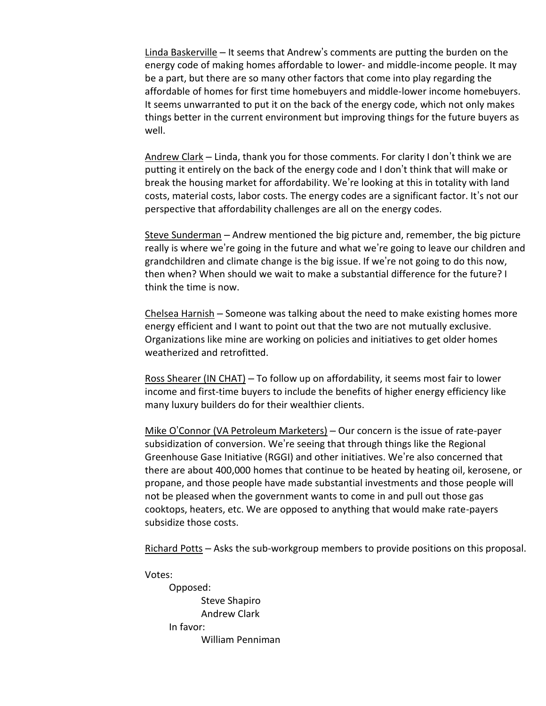Linda Baskerville – It seems that Andrew's comments are putting the burden on the energy code of making homes affordable to lower- and middle-income people. It may be a part, but there are so many other factors that come into play regarding the affordable of homes for first time homebuyers and middle-lower income homebuyers. It seems unwarranted to put it on the back of the energy code, which not only makes things better in the current environment but improving things for the future buyers as well.

Andrew Clark – Linda, thank you for those comments. For clarity I don't think we are putting it entirely on the back of the energy code and I don't think that will make or break the housing market for affordability. We're looking at this in totality with land costs, material costs, labor costs. The energy codes are a significant factor. It's not our perspective that affordability challenges are all on the energy codes.

Steve Sunderman – Andrew mentioned the big picture and, remember, the big picture really is where we're going in the future and what we're going to leave our children and grandchildren and climate change is the big issue. If we're not going to do this now, then when? When should we wait to make a substantial difference for the future? I think the time is now.

Chelsea Harnish – Someone was talking about the need to make existing homes more energy efficient and I want to point out that the two are not mutually exclusive. Organizations like mine are working on policies and initiatives to get older homes weatherized and retrofitted.

Ross Shearer (IN CHAT) – To follow up on affordability, it seems most fair to lower income and first-time buyers to include the benefits of higher energy efficiency like many luxury builders do for their wealthier clients.

Mike O'Connor (VA Petroleum Marketers) – Our concern is the issue of rate-payer subsidization of conversion. We're seeing that through things like the Regional Greenhouse Gase Initiative (RGGI) and other initiatives. We're also concerned that there are about 400,000 homes that continue to be heated by heating oil, kerosene, or propane, and those people have made substantial investments and those people will not be pleased when the government wants to come in and pull out those gas cooktops, heaters, etc. We are opposed to anything that would make rate-payers subsidize those costs.

Richard Potts – Asks the sub-workgroup members to provide positions on this proposal.

Votes: Opposed: Steve Shapiro Andrew Clark In favor: William Penniman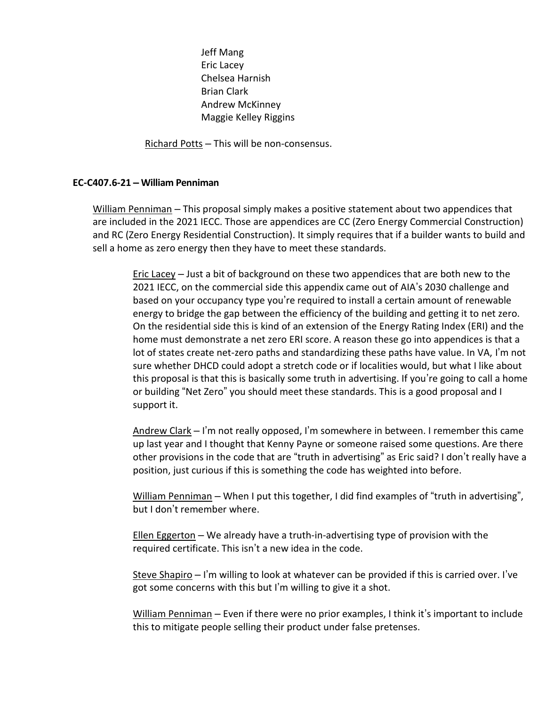Jeff Mang Eric Lacey Chelsea Harnish Brian Clark Andrew McKinney Maggie Kelley Riggins

Richard Potts – This will be non-consensus.

## **EC-C407.6-21 – William Penniman**

William Penniman – This proposal simply makes a positive statement about two appendices that are included in the 2021 IECC. Those are appendices are CC (Zero Energy Commercial Construction) and RC (Zero Energy Residential Construction). It simply requires that if a builder wants to build and sell a home as zero energy then they have to meet these standards.

Eric Lacey – Just a bit of background on these two appendices that are both new to the 2021 IECC, on the commercial side this appendix came out of AIA's 2030 challenge and based on your occupancy type you're required to install a certain amount of renewable energy to bridge the gap between the efficiency of the building and getting it to net zero. On the residential side this is kind of an extension of the Energy Rating Index (ERI) and the home must demonstrate a net zero ERI score. A reason these go into appendices is that a lot of states create net-zero paths and standardizing these paths have value. In VA, I'm not sure whether DHCD could adopt a stretch code or if localities would, but what I like about this proposal is that this is basically some truth in advertising. If you're going to call a home or building "Net Zero" you should meet these standards. This is a good proposal and I support it.

Andrew Clark – I'm not really opposed, I'm somewhere in between. I remember this came up last year and I thought that Kenny Payne or someone raised some questions. Are there other provisions in the code that are "truth in advertising" as Eric said? I don't really have a position, just curious if this is something the code has weighted into before.

William Penniman - When I put this together, I did find examples of "truth in advertising", but I don't remember where.

Ellen Eggerton – We already have a truth-in-advertising type of provision with the required certificate. This isn't a new idea in the code.

Steve Shapiro – I'm willing to look at whatever can be provided if this is carried over. I've got some concerns with this but I'm willing to give it a shot.

William Penniman – Even if there were no prior examples, I think it's important to include this to mitigate people selling their product under false pretenses.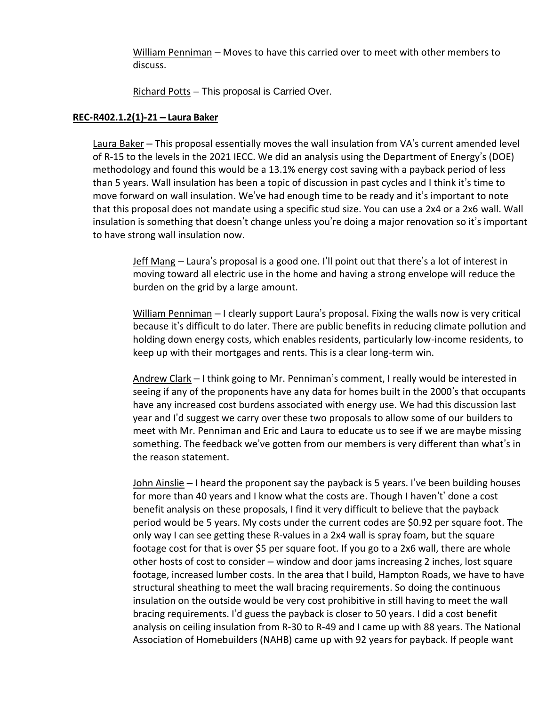William Penniman – Moves to have this carried over to meet with other members to discuss.

Richard Potts – This proposal is Carried Over.

## **REC-R402.1.2(1)-21 – Laura Baker**

Laura Baker – This proposal essentially moves the wall insulation from VA's current amended level of R-15 to the levels in the 2021 IECC. We did an analysis using the Department of Energy's (DOE) methodology and found this would be a 13.1% energy cost saving with a payback period of less than 5 years. Wall insulation has been a topic of discussion in past cycles and I think it's time to move forward on wall insulation. We've had enough time to be ready and it's important to note that this proposal does not mandate using a specific stud size. You can use a 2x4 or a 2x6 wall. Wall insulation is something that doesn't change unless you're doing a major renovation so it's important to have strong wall insulation now.

Jeff Mang – Laura's proposal is a good one. I'll point out that there's a lot of interest in moving toward all electric use in the home and having a strong envelope will reduce the burden on the grid by a large amount.

William Penniman - I clearly support Laura's proposal. Fixing the walls now is very critical because it's difficult to do later. There are public benefits in reducing climate pollution and holding down energy costs, which enables residents, particularly low-income residents, to keep up with their mortgages and rents. This is a clear long-term win.

Andrew Clark – I think going to Mr. Penniman's comment, I really would be interested in seeing if any of the proponents have any data for homes built in the 2000's that occupants have any increased cost burdens associated with energy use. We had this discussion last year and I'd suggest we carry over these two proposals to allow some of our builders to meet with Mr. Penniman and Eric and Laura to educate us to see if we are maybe missing something. The feedback we've gotten from our members is very different than what's in the reason statement.

John Ainslie – I heard the proponent say the payback is 5 years. I've been building houses for more than 40 years and I know what the costs are. Though I haven't' done a cost benefit analysis on these proposals, I find it very difficult to believe that the payback period would be 5 years. My costs under the current codes are \$0.92 per square foot. The only way I can see getting these R-values in a 2x4 wall is spray foam, but the square footage cost for that is over \$5 per square foot. If you go to a 2x6 wall, there are whole other hosts of cost to consider – window and door jams increasing 2 inches, lost square footage, increased lumber costs. In the area that I build, Hampton Roads, we have to have structural sheathing to meet the wall bracing requirements. So doing the continuous insulation on the outside would be very cost prohibitive in still having to meet the wall bracing requirements. I'd guess the payback is closer to 50 years. I did a cost benefit analysis on ceiling insulation from R-30 to R-49 and I came up with 88 years. The National Association of Homebuilders (NAHB) came up with 92 years for payback. If people want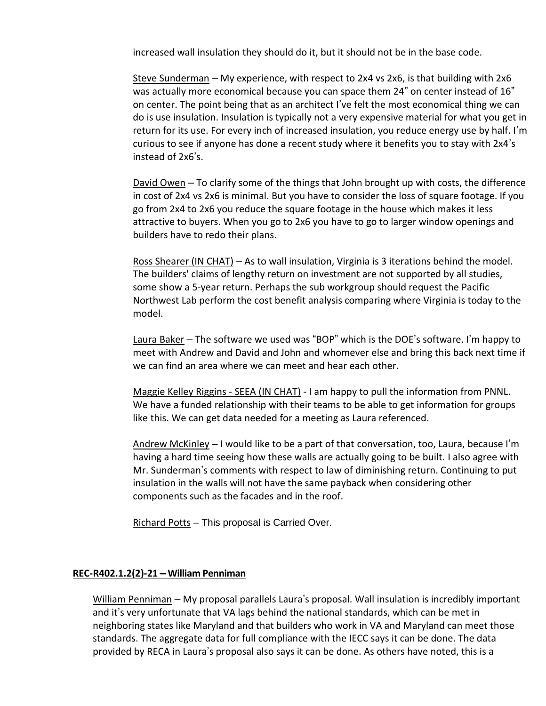increased wall insulation they should do it, but it should not be in the base code.

Steve Sunderman – My experience, with respect to 2x4 vs 2x6, is that building with 2x6 was actually more economical because you can space them 24" on center instead of 16" on center. The point being that as an architect I've felt the most economical thing we can do is use insulation. Insulation is typically not a very expensive material for what you get in return for its use. For every inch of increased insulation, you reduce energy use by half. I'm curious to see if anyone has done a recent study where it benefits you to stay with 2x4's instead of 2x6's.

David Owen – To clarify some of the things that John brought up with costs, the difference in cost of 2x4 vs 2x6 is minimal. But you have to consider the loss of square footage. If you go from 2x4 to 2x6 you reduce the square footage in the house which makes it less attractive to buyers. When you go to 2x6 you have to go to larger window openings and builders have to redo their plans.

Ross Shearer (IN CHAT) – As to wall insulation, Virginia is 3 iterations behind the model. The builders' claims of lengthy return on investment are not supported by all studies, some show a 5-year return. Perhaps the sub workgroup should request the Pacific Northwest Lab perform the cost benefit analysis comparing where Virginia is today to the model.

Laura Baker – The software we used was "BOP" which is the DOE's software. I'm happy to meet with Andrew and David and John and whomever else and bring this back next time if we can find an area where we can meet and hear each other.

Maggie Kelley Riggins - SEEA (IN CHAT) - I am happy to pull the information from PNNL. We have a funded relationship with their teams to be able to get information for groups like this. We can get data needed for a meeting as Laura referenced.

Andrew McKinley – I would like to be a part of that conversation, too, Laura, because I'm having a hard time seeing how these walls are actually going to be built. I also agree with Mr. Sunderman's comments with respect to law of diminishing return. Continuing to put insulation in the walls will not have the same payback when considering other components such as the facades and in the roof.

Richard Potts – This proposal is Carried Over.

## **REC-R402.1.2(2)-21 – William Penniman**

William Penniman – My proposal parallels Laura's proposal. Wall insulation is incredibly important and it's very unfortunate that VA lags behind the national standards, which can be met in neighboring states like Maryland and that builders who work in VA and Maryland can meet those standards. The aggregate data for full compliance with the IECC says it can be done. The data provided by RECA in Laura's proposal also says it can be done. As others have noted, this is a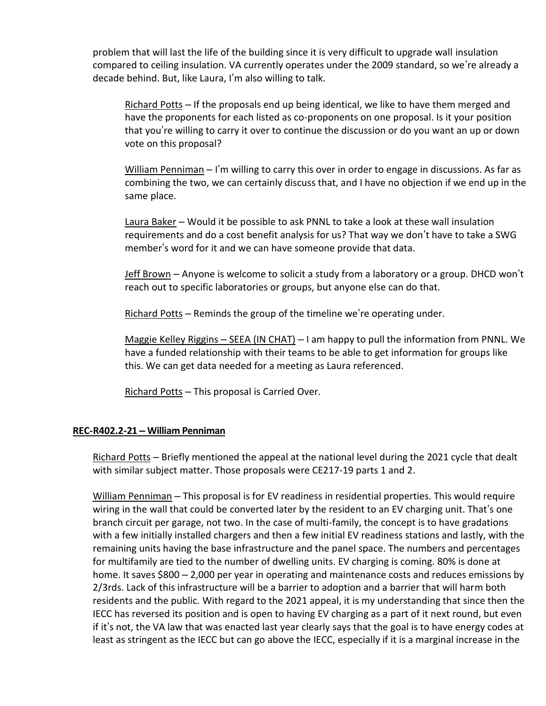problem that will last the life of the building since it is very difficult to upgrade wall insulation compared to ceiling insulation. VA currently operates under the 2009 standard, so we're already a decade behind. But, like Laura, I'm also willing to talk.

Richard Potts – If the proposals end up being identical, we like to have them merged and have the proponents for each listed as co-proponents on one proposal. Is it your position that you're willing to carry it over to continue the discussion or do you want an up or down vote on this proposal?

William Penniman  $-1$ 'm willing to carry this over in order to engage in discussions. As far as combining the two, we can certainly discuss that, and I have no objection if we end up in the same place.

Laura Baker – Would it be possible to ask PNNL to take a look at these wall insulation requirements and do a cost benefit analysis for us? That way we don't have to take a SWG member's word for it and we can have someone provide that data.

Jeff Brown – Anyone is welcome to solicit a study from a laboratory or a group. DHCD won't reach out to specific laboratories or groups, but anyone else can do that.

Richard Potts - Reminds the group of the timeline we're operating under.

Maggie Kelley Riggins – SEEA (IN CHAT) – I am happy to pull the information from PNNL. We have a funded relationship with their teams to be able to get information for groups like this. We can get data needed for a meeting as Laura referenced.

Richard Potts - This proposal is Carried Over.

## **REC-R402.2-21 – William Penniman**

Richard Potts – Briefly mentioned the appeal at the national level during the 2021 cycle that dealt with similar subject matter. Those proposals were CE217-19 parts 1 and 2.

William Penniman – This proposal is for EV readiness in residential properties. This would require wiring in the wall that could be converted later by the resident to an EV charging unit. That's one branch circuit per garage, not two. In the case of multi-family, the concept is to have gradations with a few initially installed chargers and then a few initial EV readiness stations and lastly, with the remaining units having the base infrastructure and the panel space. The numbers and percentages for multifamily are tied to the number of dwelling units. EV charging is coming. 80% is done at home. It saves \$800 – 2,000 per year in operating and maintenance costs and reduces emissions by 2/3rds. Lack of this infrastructure will be a barrier to adoption and a barrier that will harm both residents and the public. With regard to the 2021 appeal, it is my understanding that since then the IECC has reversed its position and is open to having EV charging as a part of it next round, but even if it's not, the VA law that was enacted last year clearly says that the goal is to have energy codes at least as stringent as the IECC but can go above the IECC, especially if it is a marginal increase in the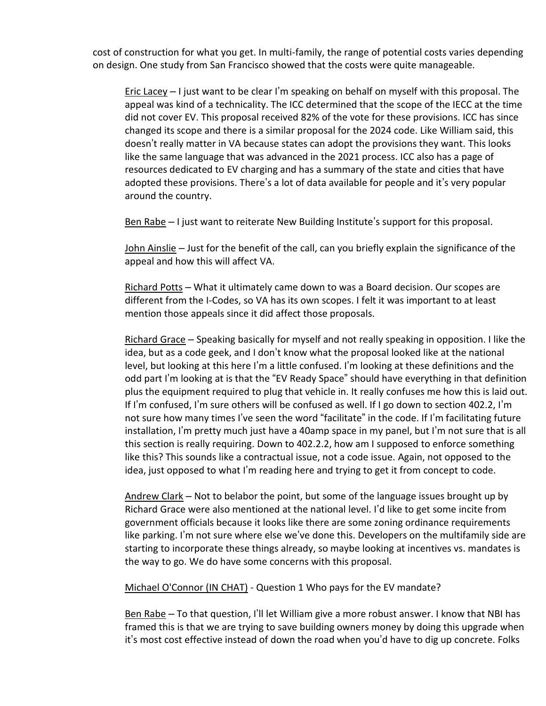cost of construction for what you get. In multi-family, the range of potential costs varies depending on design. One study from San Francisco showed that the costs were quite manageable.

Eric Lacey – I just want to be clear I'm speaking on behalf on myself with this proposal. The appeal was kind of a technicality. The ICC determined that the scope of the IECC at the time did not cover EV. This proposal received 82% of the vote for these provisions. ICC has since changed its scope and there is a similar proposal for the 2024 code. Like William said, this doesn't really matter in VA because states can adopt the provisions they want. This looks like the same language that was advanced in the 2021 process. ICC also has a page of resources dedicated to EV charging and has a summary of the state and cities that have adopted these provisions. There's a lot of data available for people and it's very popular around the country.

Ben Rabe – I just want to reiterate New Building Institute's support for this proposal.

John Ainslie – Just for the benefit of the call, can you briefly explain the significance of the appeal and how this will affect VA.

Richard Potts – What it ultimately came down to was a Board decision. Our scopes are different from the I-Codes, so VA has its own scopes. I felt it was important to at least mention those appeals since it did affect those proposals.

Richard Grace – Speaking basically for myself and not really speaking in opposition. I like the idea, but as a code geek, and I don't know what the proposal looked like at the national level, but looking at this here I'm a little confused. I'm looking at these definitions and the odd part I'm looking at is that the "EV Ready Space" should have everything in that definition plus the equipment required to plug that vehicle in. It really confuses me how this is laid out. If I'm confused, I'm sure others will be confused as well. If I go down to section 402.2, I'm not sure how many times I've seen the word "facilitate" in the code. If I'm facilitating future installation, I'm pretty much just have a 40amp space in my panel, but I'm not sure that is all this section is really requiring. Down to 402.2.2, how am I supposed to enforce something like this? This sounds like a contractual issue, not a code issue. Again, not opposed to the idea, just opposed to what I'm reading here and trying to get it from concept to code.

Andrew Clark – Not to belabor the point, but some of the language issues brought up by Richard Grace were also mentioned at the national level. I'd like to get some incite from government officials because it looks like there are some zoning ordinance requirements like parking. I'm not sure where else we've done this. Developers on the multifamily side are starting to incorporate these things already, so maybe looking at incentives vs. mandates is the way to go. We do have some concerns with this proposal.

Michael O'Connor (IN CHAT) - Question 1 Who pays for the EV mandate?

Ben Rabe – To that question, I'll let William give a more robust answer. I know that NBI has framed this is that we are trying to save building owners money by doing this upgrade when it's most cost effective instead of down the road when you'd have to dig up concrete. Folks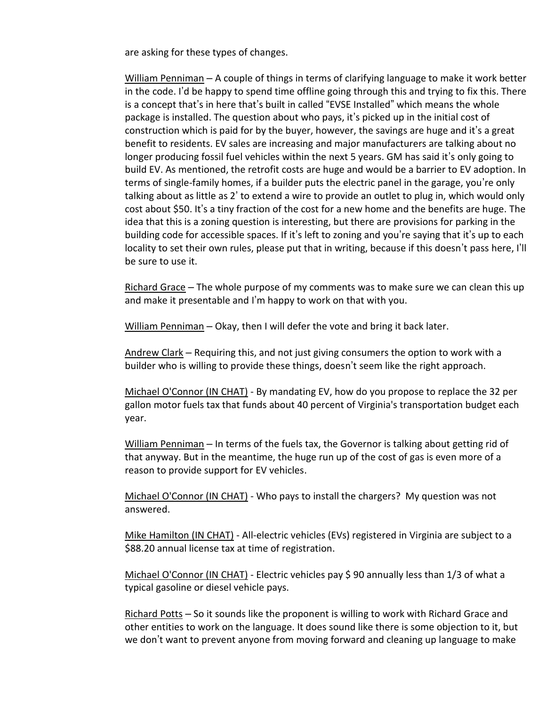are asking for these types of changes.

William Penniman – A couple of things in terms of clarifying language to make it work better in the code. I'd be happy to spend time offline going through this and trying to fix this. There is a concept that's in here that's built in called "EVSE Installed" which means the whole package is installed. The question about who pays, it's picked up in the initial cost of construction which is paid for by the buyer, however, the savings are huge and it's a great benefit to residents. EV sales are increasing and major manufacturers are talking about no longer producing fossil fuel vehicles within the next 5 years. GM has said it's only going to build EV. As mentioned, the retrofit costs are huge and would be a barrier to EV adoption. In terms of single-family homes, if a builder puts the electric panel in the garage, you're only talking about as little as 2' to extend a wire to provide an outlet to plug in, which would only cost about \$50. It's a tiny fraction of the cost for a new home and the benefits are huge. The idea that this is a zoning question is interesting, but there are provisions for parking in the building code for accessible spaces. If it's left to zoning and you're saying that it's up to each locality to set their own rules, please put that in writing, because if this doesn't pass here, I'll be sure to use it.

Richard Grace – The whole purpose of my comments was to make sure we can clean this up and make it presentable and I'm happy to work on that with you.

William Penniman – Okay, then I will defer the vote and bring it back later.

Andrew Clark – Requiring this, and not just giving consumers the option to work with a builder who is willing to provide these things, doesn't seem like the right approach.

Michael O'Connor (IN CHAT) - By mandating EV, how do you propose to replace the 32 per gallon motor fuels tax that funds about 40 percent of Virginia's transportation budget each year.

William Penniman – In terms of the fuels tax, the Governor is talking about getting rid of that anyway. But in the meantime, the huge run up of the cost of gas is even more of a reason to provide support for EV vehicles.

Michael O'Connor (IN CHAT) - Who pays to install the chargers? My question was not answered.

Mike Hamilton (IN CHAT) - All-electric vehicles (EVs) registered in Virginia are subject to a \$88.20 annual license tax at time of registration.

Michael O'Connor (IN CHAT) - Electric vehicles pay \$90 annually less than 1/3 of what a typical gasoline or diesel vehicle pays.

Richard Potts – So it sounds like the proponent is willing to work with Richard Grace and other entities to work on the language. It does sound like there is some objection to it, but we don't want to prevent anyone from moving forward and cleaning up language to make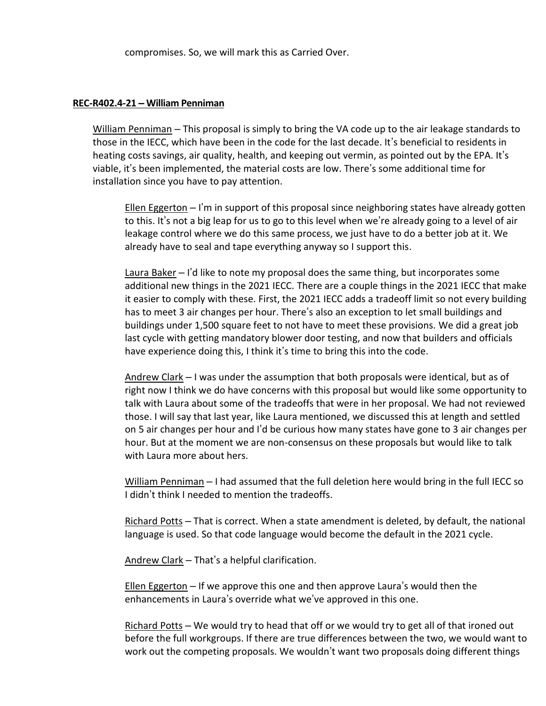compromises. So, we will mark this as Carried Over.

#### **REC-R402.4-21 – William Penniman**

William Penniman – This proposal is simply to bring the VA code up to the air leakage standards to those in the IECC, which have been in the code for the last decade. It's beneficial to residents in heating costs savings, air quality, health, and keeping out vermin, as pointed out by the EPA. It's viable, it's been implemented, the material costs are low. There's some additional time for installation since you have to pay attention.

Ellen Eggerton  $-1$ 'm in support of this proposal since neighboring states have already gotten to this. It's not a big leap for us to go to this level when we're already going to a level of air leakage control where we do this same process, we just have to do a better job at it. We already have to seal and tape everything anyway so I support this.

Laura Baker – I'd like to note my proposal does the same thing, but incorporates some additional new things in the 2021 IECC. There are a couple things in the 2021 IECC that make it easier to comply with these. First, the 2021 IECC adds a tradeoff limit so not every building has to meet 3 air changes per hour. There's also an exception to let small buildings and buildings under 1,500 square feet to not have to meet these provisions. We did a great job last cycle with getting mandatory blower door testing, and now that builders and officials have experience doing this, I think it's time to bring this into the code.

Andrew Clark – I was under the assumption that both proposals were identical, but as of right now I think we do have concerns with this proposal but would like some opportunity to talk with Laura about some of the tradeoffs that were in her proposal. We had not reviewed those. I will say that last year, like Laura mentioned, we discussed this at length and settled on 5 air changes per hour and I'd be curious how many states have gone to 3 air changes per hour. But at the moment we are non-consensus on these proposals but would like to talk with Laura more about hers.

William Penniman – I had assumed that the full deletion here would bring in the full IECC so I didn't think I needed to mention the tradeoffs.

Richard Potts – That is correct. When a state amendment is deleted, by default, the national language is used. So that code language would become the default in the 2021 cycle.

Andrew Clark – That's a helpful clarification.

Ellen Eggerton  $-$  If we approve this one and then approve Laura's would then the enhancements in Laura's override what we've approved in this one.

Richard Potts – We would try to head that off or we would try to get all of that ironed out before the full workgroups. If there are true differences between the two, we would want to work out the competing proposals. We wouldn't want two proposals doing different things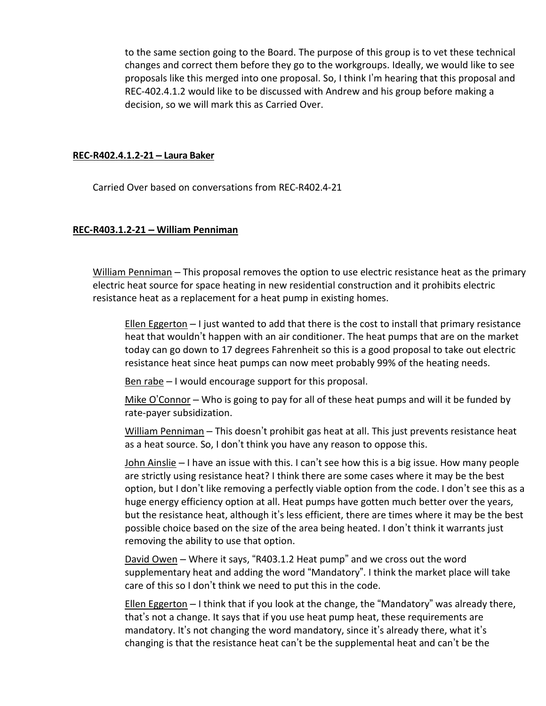to the same section going to the Board. The purpose of this group is to vet these technical changes and correct them before they go to the workgroups. Ideally, we would like to see proposals like this merged into one proposal. So, I think I'm hearing that this proposal and REC-402.4.1.2 would like to be discussed with Andrew and his group before making a decision, so we will mark this as Carried Over.

#### **REC-R402.4.1.2-21 – Laura Baker**

Carried Over based on conversations from REC-R402.4-21

## **REC-R403.1.2-21 – William Penniman**

William Penniman – This proposal removes the option to use electric resistance heat as the primary electric heat source for space heating in new residential construction and it prohibits electric resistance heat as a replacement for a heat pump in existing homes.

Ellen Eggerton  $-1$  just wanted to add that there is the cost to install that primary resistance heat that wouldn't happen with an air conditioner. The heat pumps that are on the market today can go down to 17 degrees Fahrenheit so this is a good proposal to take out electric resistance heat since heat pumps can now meet probably 99% of the heating needs.

Ben rabe  $-1$  would encourage support for this proposal.

Mike O'Connor – Who is going to pay for all of these heat pumps and will it be funded by rate-payer subsidization.

William Penniman - This doesn't prohibit gas heat at all. This just prevents resistance heat as a heat source. So, I don't think you have any reason to oppose this.

John Ainslie – I have an issue with this. I can't see how this is a big issue. How many people are strictly using resistance heat? I think there are some cases where it may be the best option, but I don't like removing a perfectly viable option from the code. I don't see this as a huge energy efficiency option at all. Heat pumps have gotten much better over the years, but the resistance heat, although it's less efficient, there are times where it may be the best possible choice based on the size of the area being heated. I don't think it warrants just removing the ability to use that option.

David Owen – Where it says, "R403.1.2 Heat pump" and we cross out the word supplementary heat and adding the word "Mandatory". I think the market place will take care of this so I don't think we need to put this in the code.

Ellen Eggerton – I think that if you look at the change, the "Mandatory" was already there, that's not a change. It says that if you use heat pump heat, these requirements are mandatory. It's not changing the word mandatory, since it's already there, what it's changing is that the resistance heat can't be the supplemental heat and can't be the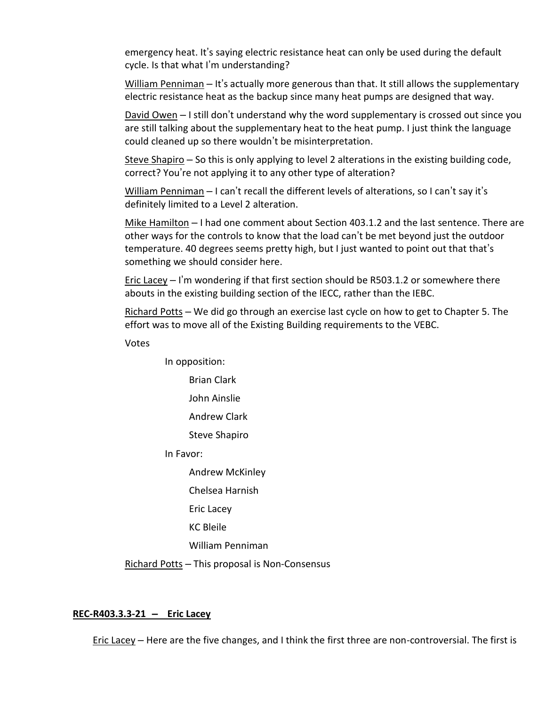emergency heat. It's saying electric resistance heat can only be used during the default cycle. Is that what I'm understanding?

William Penniman – It's actually more generous than that. It still allows the supplementary electric resistance heat as the backup since many heat pumps are designed that way.

David Owen – I still don't understand why the word supplementary is crossed out since you are still talking about the supplementary heat to the heat pump. I just think the language could cleaned up so there wouldn't be misinterpretation.

Steve Shapiro – So this is only applying to level 2 alterations in the existing building code, correct? You're not applying it to any other type of alteration?

William Penniman - I can't recall the different levels of alterations, so I can't say it's definitely limited to a Level 2 alteration.

Mike Hamilton – I had one comment about Section 403.1.2 and the last sentence. There are other ways for the controls to know that the load can't be met beyond just the outdoor temperature. 40 degrees seems pretty high, but I just wanted to point out that that's something we should consider here.

Eric Lacey  $-1$ 'm wondering if that first section should be R503.1.2 or somewhere there abouts in the existing building section of the IECC, rather than the IEBC.

Richard Potts – We did go through an exercise last cycle on how to get to Chapter 5. The effort was to move all of the Existing Building requirements to the VEBC.

Votes

In opposition:

Brian Clark

John Ainslie

Andrew Clark

Steve Shapiro

In Favor:

Andrew McKinley

Chelsea Harnish

Eric Lacey

KC Bleile

William Penniman

Richard Potts – This proposal is Non-Consensus

#### **REC-R403.3.3-21 – Eric Lacey**

Eric Lacey – Here are the five changes, and I think the first three are non-controversial. The first is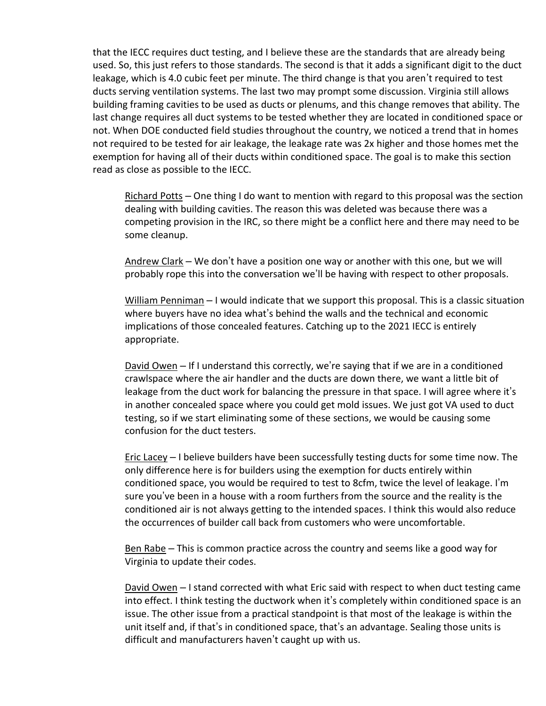that the IECC requires duct testing, and I believe these are the standards that are already being used. So, this just refers to those standards. The second is that it adds a significant digit to the duct leakage, which is 4.0 cubic feet per minute. The third change is that you aren't required to test ducts serving ventilation systems. The last two may prompt some discussion. Virginia still allows building framing cavities to be used as ducts or plenums, and this change removes that ability. The last change requires all duct systems to be tested whether they are located in conditioned space or not. When DOE conducted field studies throughout the country, we noticed a trend that in homes not required to be tested for air leakage, the leakage rate was 2x higher and those homes met the exemption for having all of their ducts within conditioned space. The goal is to make this section read as close as possible to the IECC.

Richard Potts – One thing I do want to mention with regard to this proposal was the section dealing with building cavities. The reason this was deleted was because there was a competing provision in the IRC, so there might be a conflict here and there may need to be some cleanup.

Andrew Clark – We don't have a position one way or another with this one, but we will probably rope this into the conversation we'll be having with respect to other proposals.

William Penniman – I would indicate that we support this proposal. This is a classic situation where buyers have no idea what's behind the walls and the technical and economic implications of those concealed features. Catching up to the 2021 IECC is entirely appropriate.

David Owen – If I understand this correctly, we're saying that if we are in a conditioned crawlspace where the air handler and the ducts are down there, we want a little bit of leakage from the duct work for balancing the pressure in that space. I will agree where it's in another concealed space where you could get mold issues. We just got VA used to duct testing, so if we start eliminating some of these sections, we would be causing some confusion for the duct testers.

Eric Lacey – I believe builders have been successfully testing ducts for some time now. The only difference here is for builders using the exemption for ducts entirely within conditioned space, you would be required to test to 8cfm, twice the level of leakage. I'm sure you've been in a house with a room furthers from the source and the reality is the conditioned air is not always getting to the intended spaces. I think this would also reduce the occurrences of builder call back from customers who were uncomfortable.

Ben Rabe – This is common practice across the country and seems like a good way for Virginia to update their codes.

David Owen - I stand corrected with what Eric said with respect to when duct testing came into effect. I think testing the ductwork when it's completely within conditioned space is an issue. The other issue from a practical standpoint is that most of the leakage is within the unit itself and, if that's in conditioned space, that's an advantage. Sealing those units is difficult and manufacturers haven't caught up with us.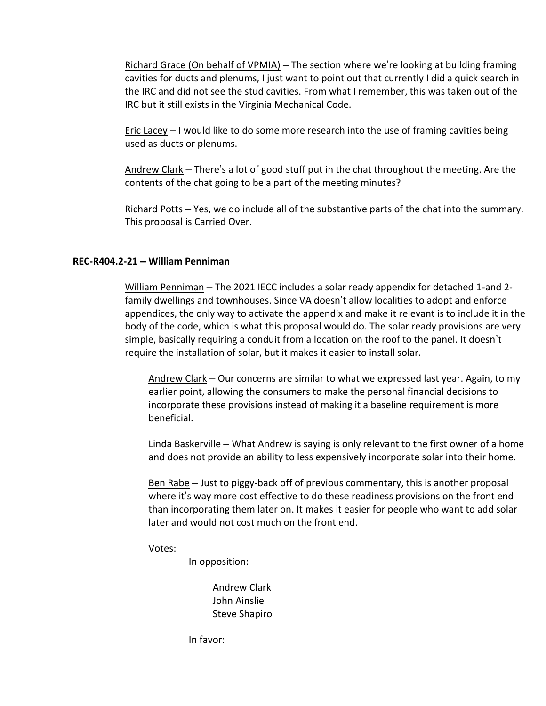Richard Grace (On behalf of VPMIA) – The section where we're looking at building framing cavities for ducts and plenums, I just want to point out that currently I did a quick search in the IRC and did not see the stud cavities. From what I remember, this was taken out of the IRC but it still exists in the Virginia Mechanical Code.

Eric Lacey – I would like to do some more research into the use of framing cavities being used as ducts or plenums.

Andrew Clark – There's a lot of good stuff put in the chat throughout the meeting. Are the contents of the chat going to be a part of the meeting minutes?

<u>Richard Potts</u> – Yes, we do include all of the substantive parts of the chat into the summary. This proposal is Carried Over.

## **REC-R404.2-21 – William Penniman**

William Penniman – The 2021 IECC includes a solar ready appendix for detached 1-and 2 family dwellings and townhouses. Since VA doesn't allow localities to adopt and enforce appendices, the only way to activate the appendix and make it relevant is to include it in the body of the code, which is what this proposal would do. The solar ready provisions are very simple, basically requiring a conduit from a location on the roof to the panel. It doesn't require the installation of solar, but it makes it easier to install solar.

Andrew Clark – Our concerns are similar to what we expressed last year. Again, to my earlier point, allowing the consumers to make the personal financial decisions to incorporate these provisions instead of making it a baseline requirement is more beneficial.

Linda Baskerville – What Andrew is saying is only relevant to the first owner of a home and does not provide an ability to less expensively incorporate solar into their home.

Ben Rabe – Just to piggy-back off of previous commentary, this is another proposal where it's way more cost effective to do these readiness provisions on the front end than incorporating them later on. It makes it easier for people who want to add solar later and would not cost much on the front end.

Votes:

In opposition:

Andrew Clark John Ainslie Steve Shapiro

In favor: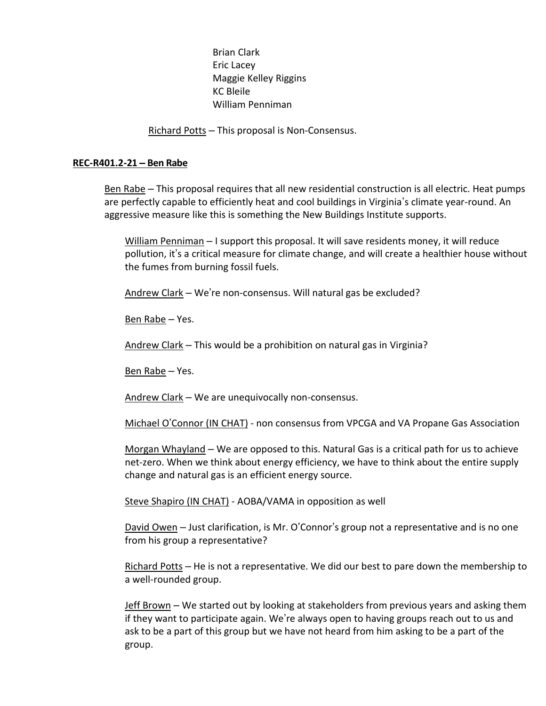Brian Clark Eric Lacey Maggie Kelley Riggins KC Bleile William Penniman

Richard Potts – This proposal is Non-Consensus.

#### **REC-R401.2-21 – Ben Rabe**

Ben Rabe – This proposal requires that all new residential construction is all electric. Heat pumps are perfectly capable to efficiently heat and cool buildings in Virginia's climate year-round. An aggressive measure like this is something the New Buildings Institute supports.

William Penniman – I support this proposal. It will save residents money, it will reduce pollution, it's a critical measure for climate change, and will create a healthier house without the fumes from burning fossil fuels.

Andrew Clark – We're non-consensus. Will natural gas be excluded?

Ben Rabe – Yes.

Andrew Clark – This would be a prohibition on natural gas in Virginia?

Ben Rabe – Yes.

Andrew Clark – We are unequivocally non-consensus.

Michael O'Connor (IN CHAT) - non consensus from VPCGA and VA Propane Gas Association

Morgan Whayland – We are opposed to this. Natural Gas is a critical path for us to achieve net-zero. When we think about energy efficiency, we have to think about the entire supply change and natural gas is an efficient energy source.

Steve Shapiro (IN CHAT) - AOBA/VAMA in opposition as well

David Owen – Just clarification, is Mr. O'Connor's group not a representative and is no one from his group a representative?

Richard Potts – He is not a representative. We did our best to pare down the membership to a well-rounded group.

Jeff Brown – We started out by looking at stakeholders from previous years and asking them if they want to participate again. We're always open to having groups reach out to us and ask to be a part of this group but we have not heard from him asking to be a part of the group.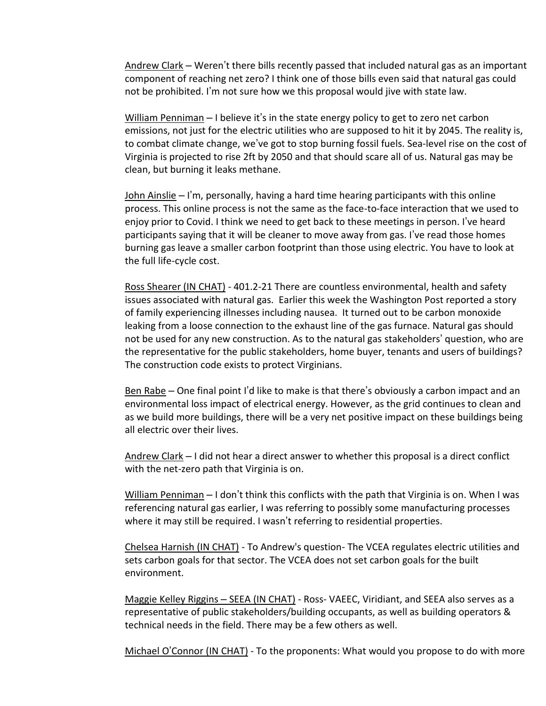Andrew Clark – Weren't there bills recently passed that included natural gas as an important component of reaching net zero? I think one of those bills even said that natural gas could not be prohibited. I'm not sure how we this proposal would jive with state law.

William Penniman  $-1$  believe it's in the state energy policy to get to zero net carbon emissions, not just for the electric utilities who are supposed to hit it by 2045. The reality is, to combat climate change, we've got to stop burning fossil fuels. Sea-level rise on the cost of Virginia is projected to rise 2ft by 2050 and that should scare all of us. Natural gas may be clean, but burning it leaks methane.

 $John Ainslie - I'm$ , personally, having a hard time hearing participants with this online process. This online process is not the same as the face-to-face interaction that we used to enjoy prior to Covid. I think we need to get back to these meetings in person. I've heard participants saying that it will be cleaner to move away from gas. I've read those homes burning gas leave a smaller carbon footprint than those using electric. You have to look at the full life-cycle cost.

Ross Shearer (IN CHAT) - 401.2-21 There are countless environmental, health and safety issues associated with natural gas. Earlier this week the Washington Post reported a story of family experiencing illnesses including nausea. It turned out to be carbon monoxide leaking from a loose connection to the exhaust line of the gas furnace. Natural gas should not be used for any new construction. As to the natural gas stakeholders' question, who are the representative for the public stakeholders, home buyer, tenants and users of buildings? The construction code exists to protect Virginians.

Ben Rabe – One final point I'd like to make is that there's obviously a carbon impact and an environmental loss impact of electrical energy. However, as the grid continues to clean and as we build more buildings, there will be a very net positive impact on these buildings being all electric over their lives.

Andrew Clark – I did not hear a direct answer to whether this proposal is a direct conflict with the net-zero path that Virginia is on.

William Penniman - I don't think this conflicts with the path that Virginia is on. When I was referencing natural gas earlier, I was referring to possibly some manufacturing processes where it may still be required. I wasn't referring to residential properties.

Chelsea Harnish (IN CHAT) - To Andrew's question- The VCEA regulates electric utilities and sets carbon goals for that sector. The VCEA does not set carbon goals for the built environment.

Maggie Kelley Riggins – SEEA (IN CHAT) - Ross- VAEEC, Viridiant, and SEEA also serves as a representative of public stakeholders/building occupants, as well as building operators & technical needs in the field. There may be a few others as well.

Michael O'Connor (IN CHAT) - To the proponents: What would you propose to do with more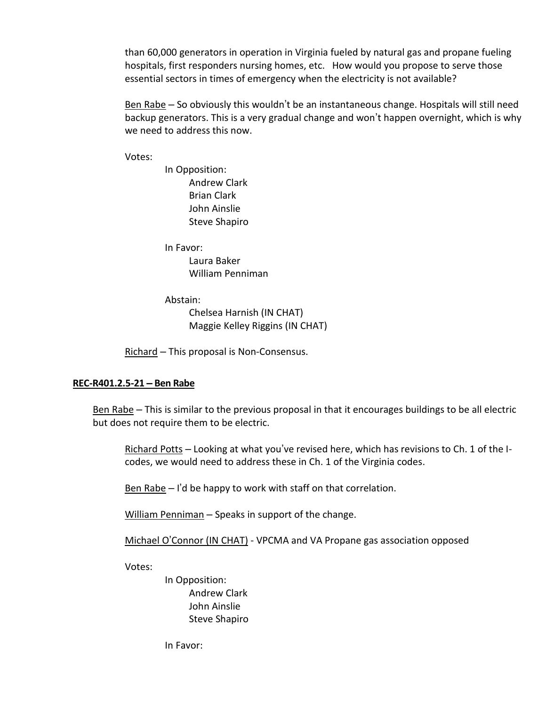than 60,000 generators in operation in Virginia fueled by natural gas and propane fueling hospitals, first responders nursing homes, etc. How would you propose to serve those essential sectors in times of emergency when the electricity is not available?

Ben Rabe – So obviously this wouldn't be an instantaneous change. Hospitals will still need backup generators. This is a very gradual change and won't happen overnight, which is why we need to address this now.

Votes:

In Opposition: Andrew Clark Brian Clark John Ainslie Steve Shapiro

In Favor: Laura Baker William Penniman

Abstain: Chelsea Harnish (IN CHAT) Maggie Kelley Riggins (IN CHAT)

Richard – This proposal is Non-Consensus.

# **REC-R401.2.5-21 – Ben Rabe**

Ben Rabe – This is similar to the previous proposal in that it encourages buildings to be all electric but does not require them to be electric.

Richard Potts – Looking at what you've revised here, which has revisions to Ch. 1 of the Icodes, we would need to address these in Ch. 1 of the Virginia codes.

Ben Rabe – I'd be happy to work with staff on that correlation.

William Penniman - Speaks in support of the change.

Michael O'Connor (IN CHAT) - VPCMA and VA Propane gas association opposed

Votes:

In Opposition: Andrew Clark John Ainslie Steve Shapiro

In Favor: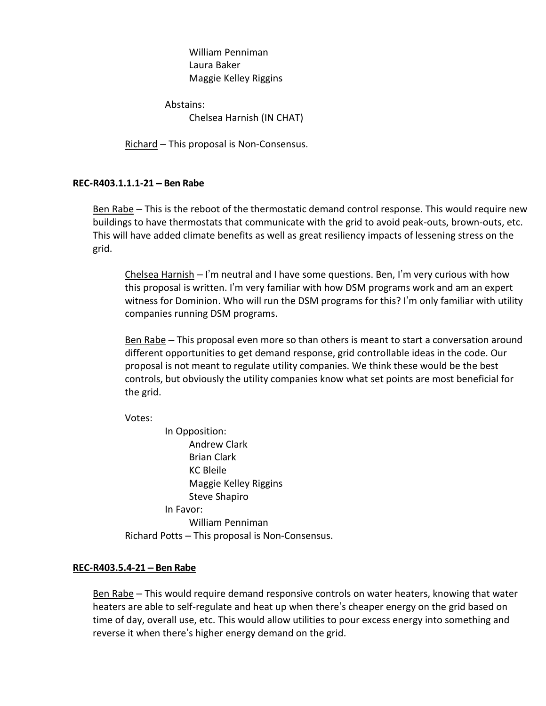William Penniman Laura Baker Maggie Kelley Riggins

Abstains: Chelsea Harnish (IN CHAT)

Richard – This proposal is Non-Consensus.

# **REC-R403.1.1.1-21 – Ben Rabe**

Ben Rabe – This is the reboot of the thermostatic demand control response. This would require new buildings to have thermostats that communicate with the grid to avoid peak-outs, brown-outs, etc. This will have added climate benefits as well as great resiliency impacts of lessening stress on the grid.

Chelsea Harnish – I'm neutral and I have some questions. Ben, I'm very curious with how this proposal is written. I'm very familiar with how DSM programs work and am an expert witness for Dominion. Who will run the DSM programs for this? I'm only familiar with utility companies running DSM programs.

Ben Rabe – This proposal even more so than others is meant to start a conversation around different opportunities to get demand response, grid controllable ideas in the code. Our proposal is not meant to regulate utility companies. We think these would be the best controls, but obviously the utility companies know what set points are most beneficial for the grid.

Votes:

In Opposition: Andrew Clark Brian Clark KC Bleile Maggie Kelley Riggins Steve Shapiro In Favor: William Penniman

Richard Potts – This proposal is Non-Consensus.

# **REC-R403.5.4-21 – Ben Rabe**

Ben Rabe – This would require demand responsive controls on water heaters, knowing that water heaters are able to self-regulate and heat up when there's cheaper energy on the grid based on time of day, overall use, etc. This would allow utilities to pour excess energy into something and reverse it when there's higher energy demand on the grid.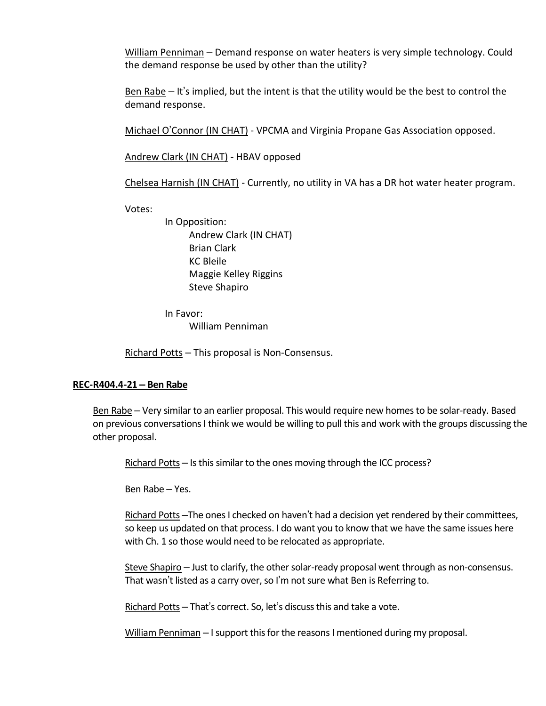William Penniman – Demand response on water heaters is very simple technology. Could the demand response be used by other than the utility?

Ben Rabe – It's implied, but the intent is that the utility would be the best to control the demand response.

Michael O'Connor (IN CHAT) - VPCMA and Virginia Propane Gas Association opposed.

Andrew Clark (IN CHAT) - HBAV opposed

Chelsea Harnish (IN CHAT) - Currently, no utility in VA has a DR hot water heater program.

Votes:

In Opposition: Andrew Clark (IN CHAT) Brian Clark KC Bleile Maggie Kelley Riggins Steve Shapiro

In Favor: William Penniman

Richard Potts – This proposal is Non-Consensus.

## **REC-R404.4-21 – Ben Rabe**

Ben Rabe – Very similar to an earlier proposal. This would require new homes to be solar-ready. Based on previous conversations I think we would be willing to pull this and work with the groups discussing the other proposal.

Richard Potts – Is this similar to the ones moving through the ICC process?

Ben Rabe – Yes.

Richard Potts –The ones I checked on haven't had a decision yet rendered by their committees, so keep us updated on that process. I do want you to know that we have the same issues here with Ch. 1 so those would need to be relocated as appropriate.

Steve Shapiro – Just to clarify, the other solar-ready proposal went through as non-consensus. That wasn't listed as a carry over, so I'm not sure what Ben is Referring to.

Richard Potts – That's correct. So, let's discuss this and take a vote.

William Penniman – I support this for the reasons I mentioned during my proposal.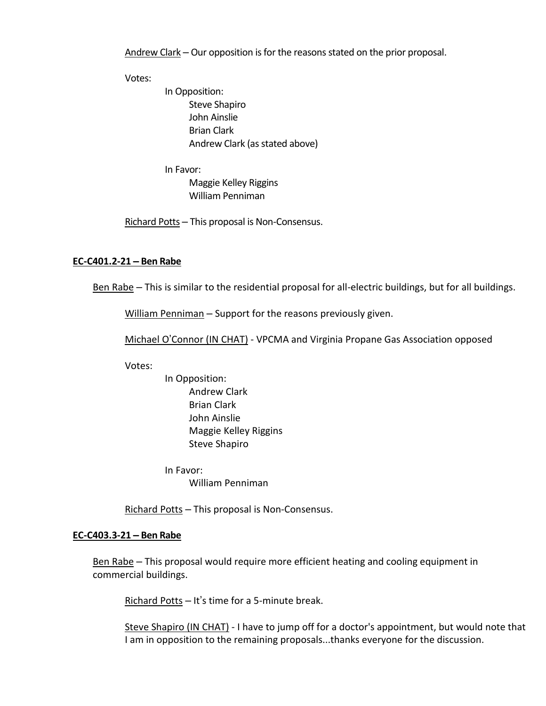Andrew Clark – Our opposition is for the reasons stated on the prior proposal.

Votes:

In Opposition: Steve Shapiro John Ainslie Brian Clark Andrew Clark (as stated above)

In Favor:

Maggie Kelley Riggins William Penniman

Richard Potts – This proposal is Non-Consensus.

## **EC-C401.2-21 – Ben Rabe**

Ben Rabe – This is similar to the residential proposal for all-electric buildings, but for all buildings.

William Penniman – Support for the reasons previously given.

Michael O'Connor (IN CHAT) - VPCMA and Virginia Propane Gas Association opposed

Votes:

In Opposition: Andrew Clark Brian Clark John Ainslie Maggie Kelley Riggins Steve Shapiro

In Favor: William Penniman

Richard Potts - This proposal is Non-Consensus.

#### **EC-C403.3-21 – Ben Rabe**

Ben Rabe – This proposal would require more efficient heating and cooling equipment in commercial buildings.

Richard Potts - It's time for a 5-minute break.

Steve Shapiro (IN CHAT) - I have to jump off for a doctor's appointment, but would note that I am in opposition to the remaining proposals...thanks everyone for the discussion.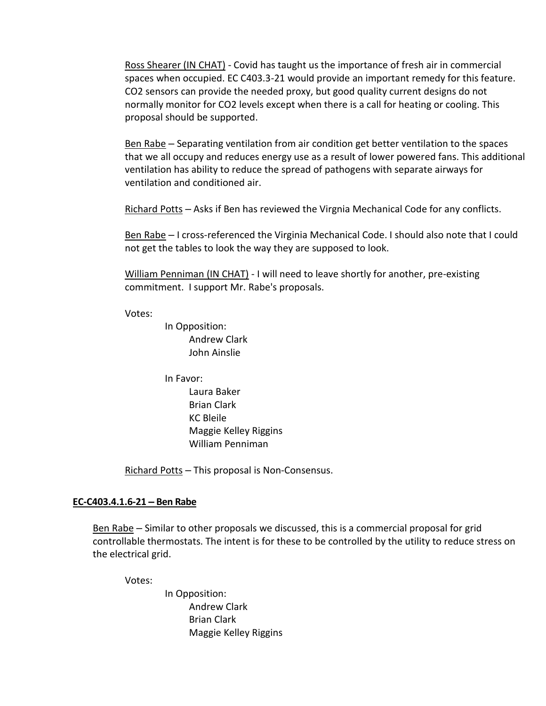Ross Shearer (IN CHAT) - Covid has taught us the importance of fresh air in commercial spaces when occupied. EC C403.3-21 would provide an important remedy for this feature. CO2 sensors can provide the needed proxy, but good quality current designs do not normally monitor for CO2 levels except when there is a call for heating or cooling. This proposal should be supported.

Ben Rabe – Separating ventilation from air condition get better ventilation to the spaces that we all occupy and reduces energy use as a result of lower powered fans. This additional ventilation has ability to reduce the spread of pathogens with separate airways for ventilation and conditioned air.

Richard Potts – Asks if Ben has reviewed the Virgnia Mechanical Code for any conflicts.

Ben Rabe – I cross-referenced the Virginia Mechanical Code. I should also note that I could not get the tables to look the way they are supposed to look.

William Penniman (IN CHAT) - I will need to leave shortly for another, pre-existing commitment. I support Mr. Rabe's proposals.

Votes:

In Opposition: Andrew Clark John Ainslie

In Favor: Laura Baker Brian Clark KC Bleile

Maggie Kelley Riggins William Penniman

Richard Potts – This proposal is Non-Consensus.

# **EC-C403.4.1.6-21 – Ben Rabe**

Ben Rabe – Similar to other proposals we discussed, this is a commercial proposal for grid controllable thermostats. The intent is for these to be controlled by the utility to reduce stress on the electrical grid.

Votes:

In Opposition: Andrew Clark Brian Clark Maggie Kelley Riggins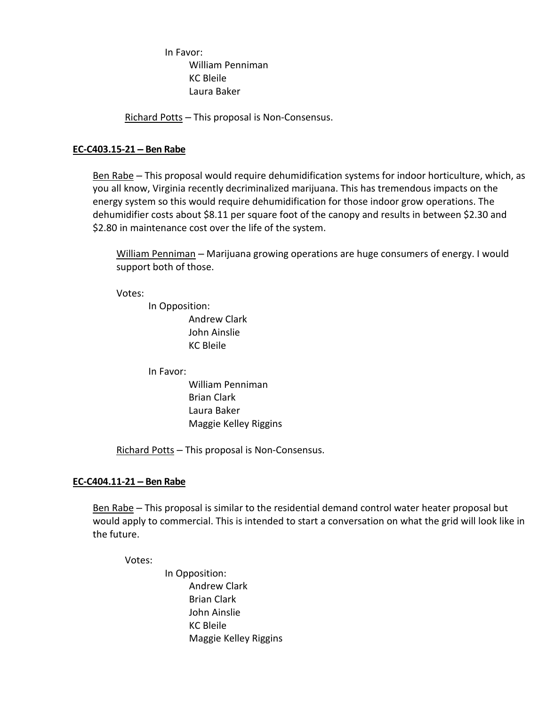In Favor: William Penniman KC Bleile Laura Baker

Richard Potts – This proposal is Non-Consensus.

## **EC-C403.15-21 – Ben Rabe**

Ben Rabe – This proposal would require dehumidification systems for indoor horticulture, which, as you all know, Virginia recently decriminalized marijuana. This has tremendous impacts on the energy system so this would require dehumidification for those indoor grow operations. The dehumidifier costs about \$8.11 per square foot of the canopy and results in between \$2.30 and \$2.80 in maintenance cost over the life of the system.

William Penniman – Marijuana growing operations are huge consumers of energy. I would support both of those.

Votes:

In Opposition: Andrew Clark John Ainslie KC Bleile

In Favor:

William Penniman Brian Clark Laura Baker Maggie Kelley Riggins

Richard Potts – This proposal is Non-Consensus.

## **EC-C404.11-21 – Ben Rabe**

Ben Rabe – This proposal is similar to the residential demand control water heater proposal but would apply to commercial. This is intended to start a conversation on what the grid will look like in the future.

Votes:

In Opposition: Andrew Clark Brian Clark John Ainslie KC Bleile Maggie Kelley Riggins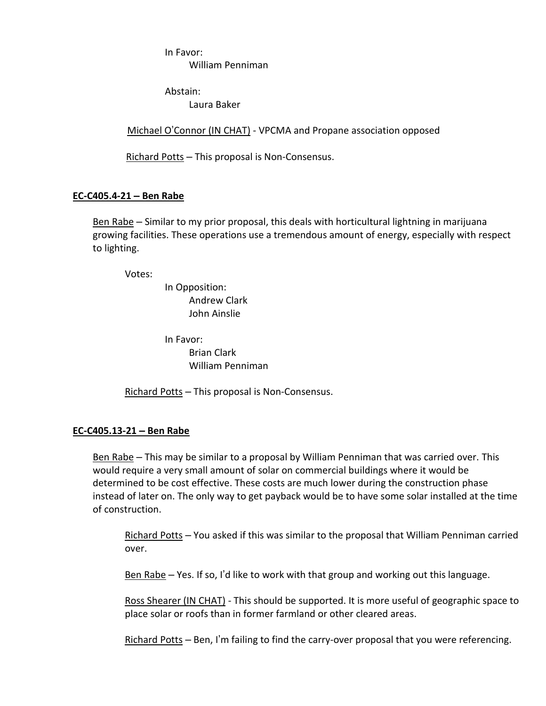In Favor: William Penniman

Abstain: Laura Baker

Michael O'Connor (IN CHAT) - VPCMA and Propane association opposed

Richard Potts – This proposal is Non-Consensus.

# **EC-C405.4-21 – Ben Rabe**

Ben Rabe – Similar to my prior proposal, this deals with horticultural lightning in marijuana growing facilities. These operations use a tremendous amount of energy, especially with respect to lighting.

Votes:

In Opposition: Andrew Clark John Ainslie

In Favor: Brian Clark William Penniman

Richard Potts - This proposal is Non-Consensus.

# **EC-C405.13-21 – Ben Rabe**

Ben Rabe – This may be similar to a proposal by William Penniman that was carried over. This would require a very small amount of solar on commercial buildings where it would be determined to be cost effective. These costs are much lower during the construction phase instead of later on. The only way to get payback would be to have some solar installed at the time of construction.

Richard Potts – You asked if this was similar to the proposal that William Penniman carried over.

Ben Rabe  $-$  Yes. If so, I'd like to work with that group and working out this language.

Ross Shearer (IN CHAT) - This should be supported. It is more useful of geographic space to place solar or roofs than in former farmland or other cleared areas.

Richard Potts – Ben, I'm failing to find the carry-over proposal that you were referencing.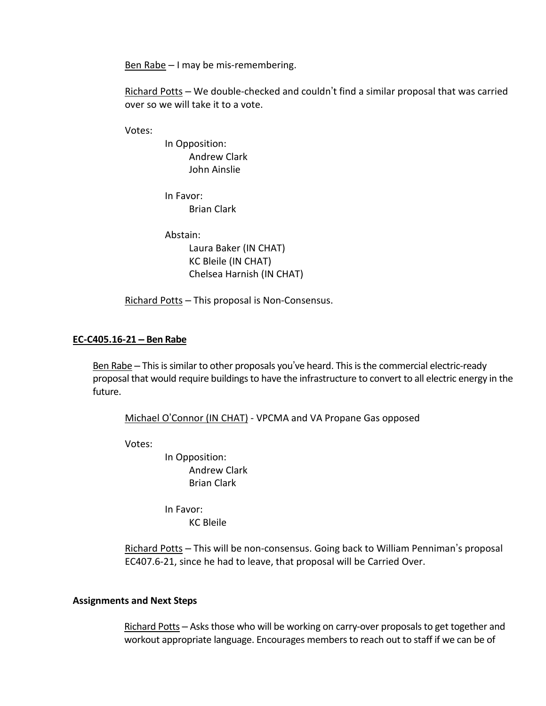Ben Rabe  $-1$  may be mis-remembering.

Richard Potts – We double-checked and couldn't find a similar proposal that was carried over so we will take it to a vote.

Votes:

In Opposition: Andrew Clark John Ainslie

In Favor: Brian Clark

Abstain:

Laura Baker (IN CHAT) KC Bleile (IN CHAT) Chelsea Harnish (IN CHAT)

Richard Potts – This proposal is Non-Consensus.

## **EC-C405.16-21 – Ben Rabe**

Ben Rabe - This is similar to other proposals you've heard. This is the commercial electric-ready proposal that would require buildings to have the infrastructure to convert to all electric energy in the future.

Michael O'Connor (IN CHAT) - VPCMA and VA Propane Gas opposed

Votes:

In Opposition: Andrew Clark Brian Clark

In Favor: KC Bleile

Richard Potts - This will be non-consensus. Going back to William Penniman's proposal EC407.6-21, since he had to leave, that proposal will be Carried Over.

#### **Assignments and Next Steps**

Richard Potts - Asks those who will be working on carry-over proposals to get together and workout appropriate language. Encourages members to reach out to staff if we can be of